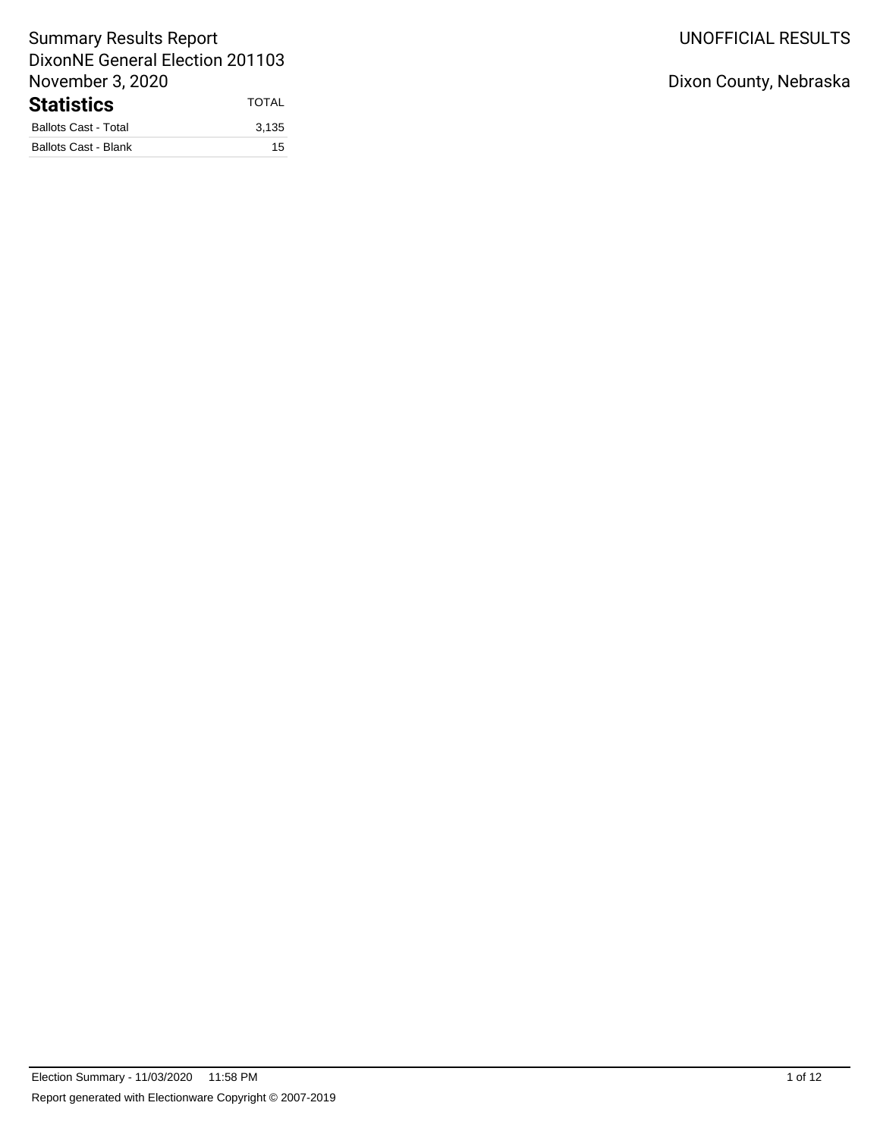## UNOFFICIAL RESULTS

Dixon County, Nebraska

# Summary Results Report DixonNE General Election 201103 November 3, 2020 Statistics TOTAL

| Ballots Cast - Total | 3.135 |
|----------------------|-------|
| Ballots Cast - Blank | 15    |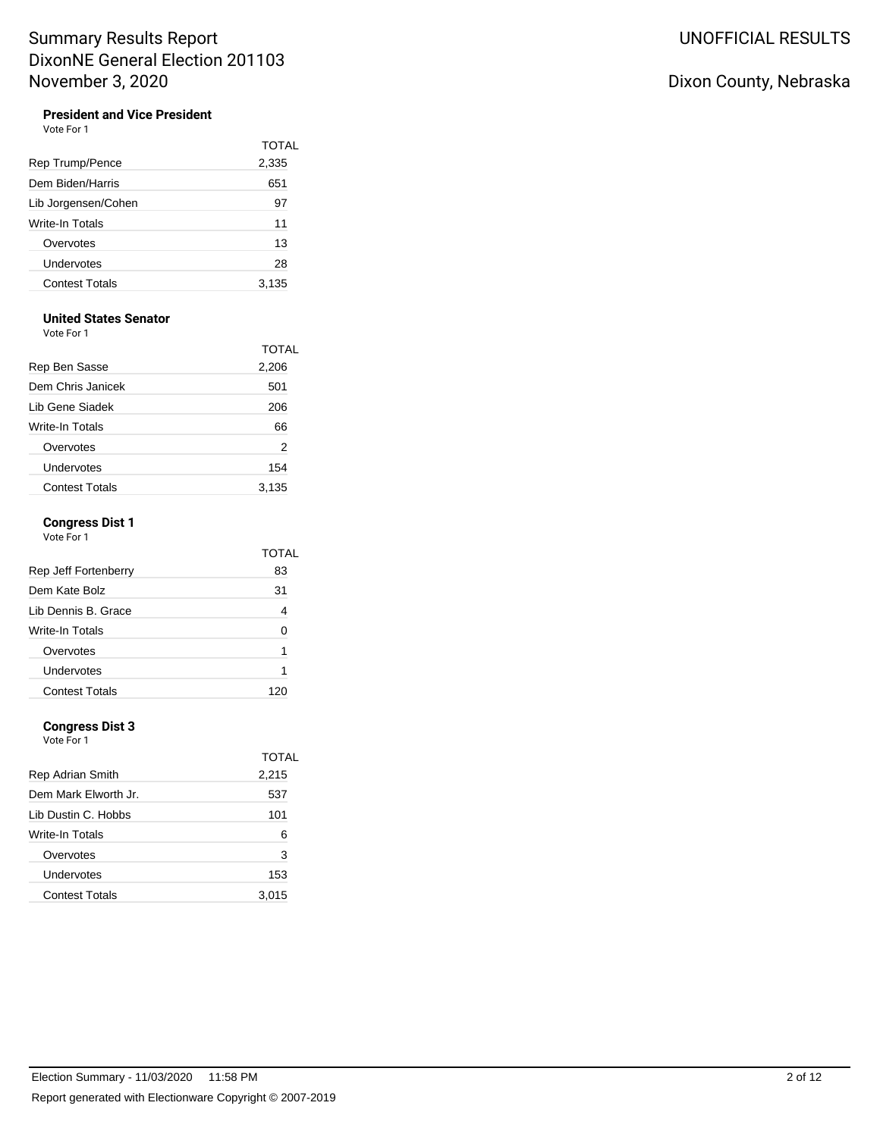## **President and Vice President**

Vote For 1

|                       | TOTAI |
|-----------------------|-------|
| Rep Trump/Pence       | 2,335 |
| Dem Biden/Harris      | 651   |
| Lib Jorgensen/Cohen   | 97    |
| Write-In Totals       | 11    |
| Overvotes             | 13    |
| Undervotes            | 28    |
| <b>Contest Totals</b> | 3,135 |

#### **United States Senator**

Vote For 1

|                       | <b>TOTAL</b> |
|-----------------------|--------------|
| Rep Ben Sasse         | 2,206        |
| Dem Chris Janicek     | 501          |
| Lib Gene Siadek       | 206          |
| Write-In Totals       | 66           |
| Overvotes             | 2            |
| Undervotes            | 154          |
| <b>Contest Totals</b> | 3.135        |

#### **Congress Dist 1** Vote For 1

| Rep Jeff Fortenberry  | TOTAL<br>83 |
|-----------------------|-------------|
| Dem Kate Bolz         | 31          |
| Lib Dennis B. Grace   | 4           |
| Write-In Totals       | ∩           |
| Overvotes             | 1           |
| Undervotes            | 1           |
| <b>Contest Totals</b> |             |

#### **Congress Dist 3**

Vote For 1

| Rep Adrian Smith      | TOTAL<br>2,215 |
|-----------------------|----------------|
| Dem Mark Elworth Jr.  | 537            |
| Lib Dustin C. Hobbs   | 101            |
| Write-In Totals       | 6              |
| Overvotes             | 3              |
| Undervotes            | 153            |
| <b>Contest Totals</b> | 3.015          |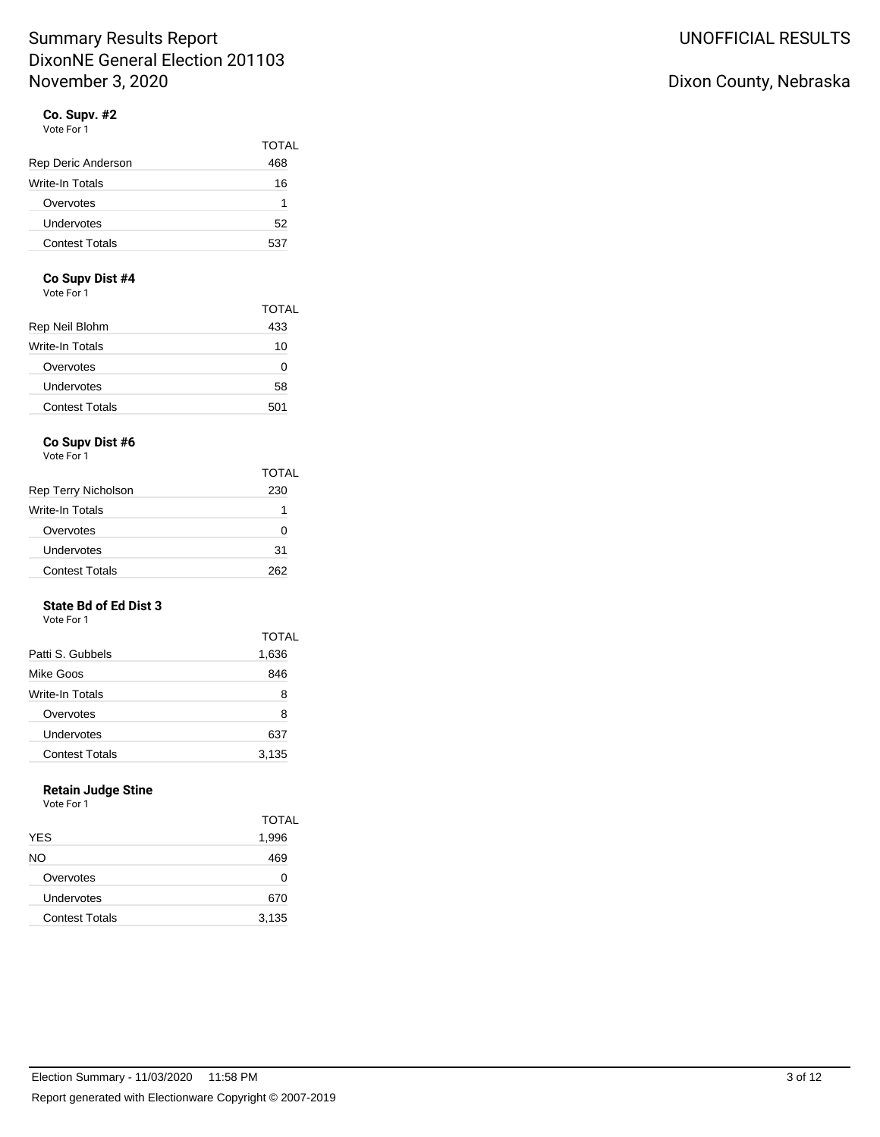#### **Co. Supv. #2** Vote For 1

| Rep Deric Anderson    | TOTAL<br>468 |
|-----------------------|--------------|
| Write-In Totals       | 16           |
| Overvotes             | 1            |
| Undervotes            | 52           |
| <b>Contest Totals</b> | 537          |

#### **Co Supv Dist #4**

Vote For 1

|                       | TOTAL |
|-----------------------|-------|
| Rep Neil Blohm        | 433   |
| Write-In Totals       | 10    |
| Overvotes             | 0     |
| Undervotes            | 58    |
| <b>Contest Totals</b> | 501   |

## **Co Supv Dist #6**

Vote For 1

|                       | <b>TOTAL</b> |
|-----------------------|--------------|
| Rep Terry Nicholson   | 230          |
| Write-In Totals       | 1            |
| Overvotes             |              |
| Undervotes            | 31           |
| <b>Contest Totals</b> | つらつ          |

#### **State Bd of Ed Dist 3** Vote For 1

|                       | <b>TOTAL</b> |
|-----------------------|--------------|
| Patti S. Gubbels      | 1,636        |
| Mike Goos             | 846          |
| Write-In Totals       | 8            |
| Overvotes             | 8            |
| Undervotes            | 637          |
| <b>Contest Totals</b> | 3,135        |

#### **Retain Judge Stine** Vote For 1

| .                     |              |
|-----------------------|--------------|
|                       | <b>TOTAL</b> |
| <b>YES</b>            | 1,996        |
| NO.                   | 469          |
| Overvotes             | O            |
| Undervotes            | 670          |
| <b>Contest Totals</b> | 3,135        |
|                       |              |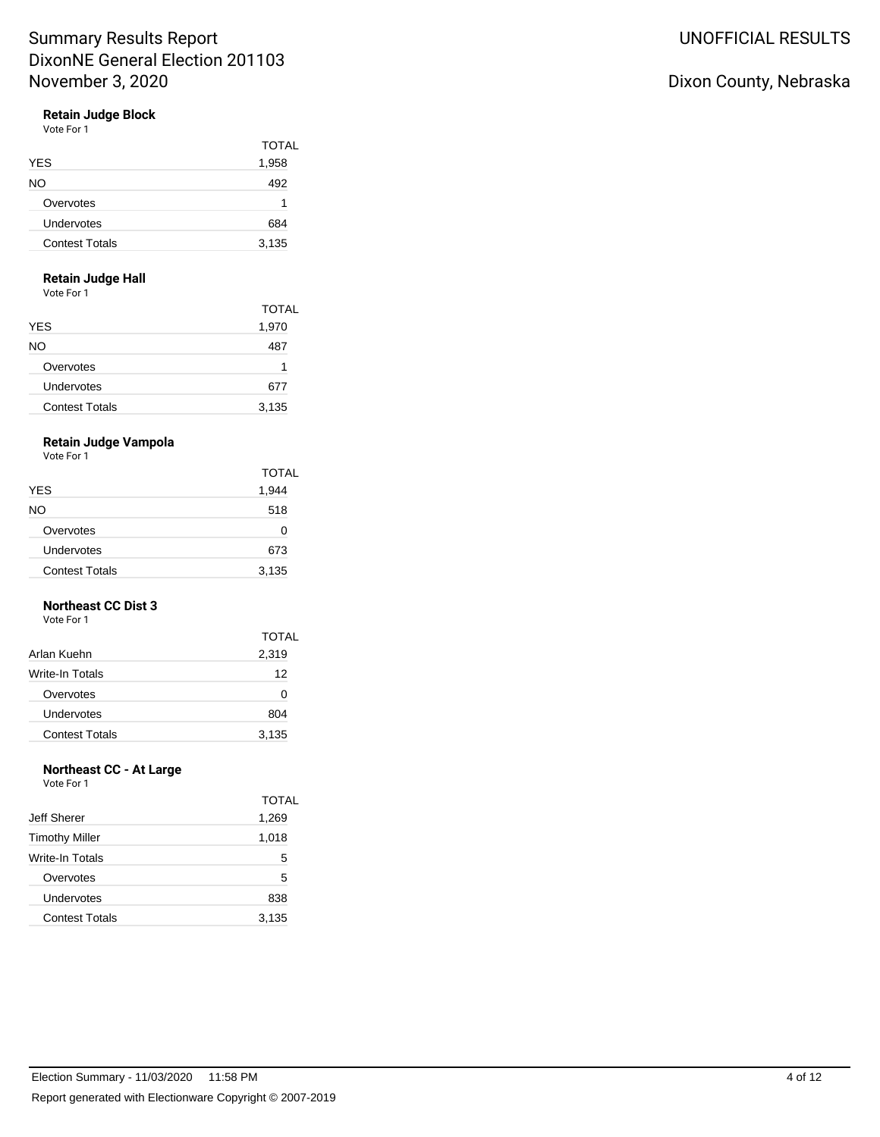### **Retain Judge Block**

Vote For 1

|                       | <b>TOTAL</b> |
|-----------------------|--------------|
| <b>YES</b>            | 1,958        |
| NO.                   | 492          |
| Overvotes             | 1            |
| Undervotes            | 684          |
| <b>Contest Totals</b> | 3,135        |

### **Retain Judge Hall**

Vote For 1

|                       | TOTAL |
|-----------------------|-------|
| <b>YES</b>            | 1,970 |
| NO                    | 487   |
| Overvotes             | 1     |
| Undervotes            | 677   |
| <b>Contest Totals</b> | 3,135 |

## **Retain Judge Vampola**

Vote For 1

|                       | <b>TOTAL</b> |
|-----------------------|--------------|
| <b>YES</b>            | 1,944        |
| NO.                   | 518          |
| Overvotes             | O            |
| Undervotes            | 673          |
| <b>Contest Totals</b> | 3,135        |

#### **Northeast CC Dist 3** Vote For 1

| Arlan Kuehn           | <b>TOTAL</b><br>2,319 |                 |
|-----------------------|-----------------------|-----------------|
|                       |                       | Write-In Totals |
| Overvotes             | 0                     |                 |
| Undervotes            | 804                   |                 |
| <b>Contest Totals</b> | 3,135                 |                 |

### **Northeast CC - At Large**

Vote For 1

|                       | TOTAL |
|-----------------------|-------|
| Jeff Sherer           | 1,269 |
| <b>Timothy Miller</b> | 1,018 |
| Write-In Totals       | 5     |
| Overvotes             | 5     |
| Undervotes            | 838   |
| <b>Contest Totals</b> | 3,135 |
|                       |       |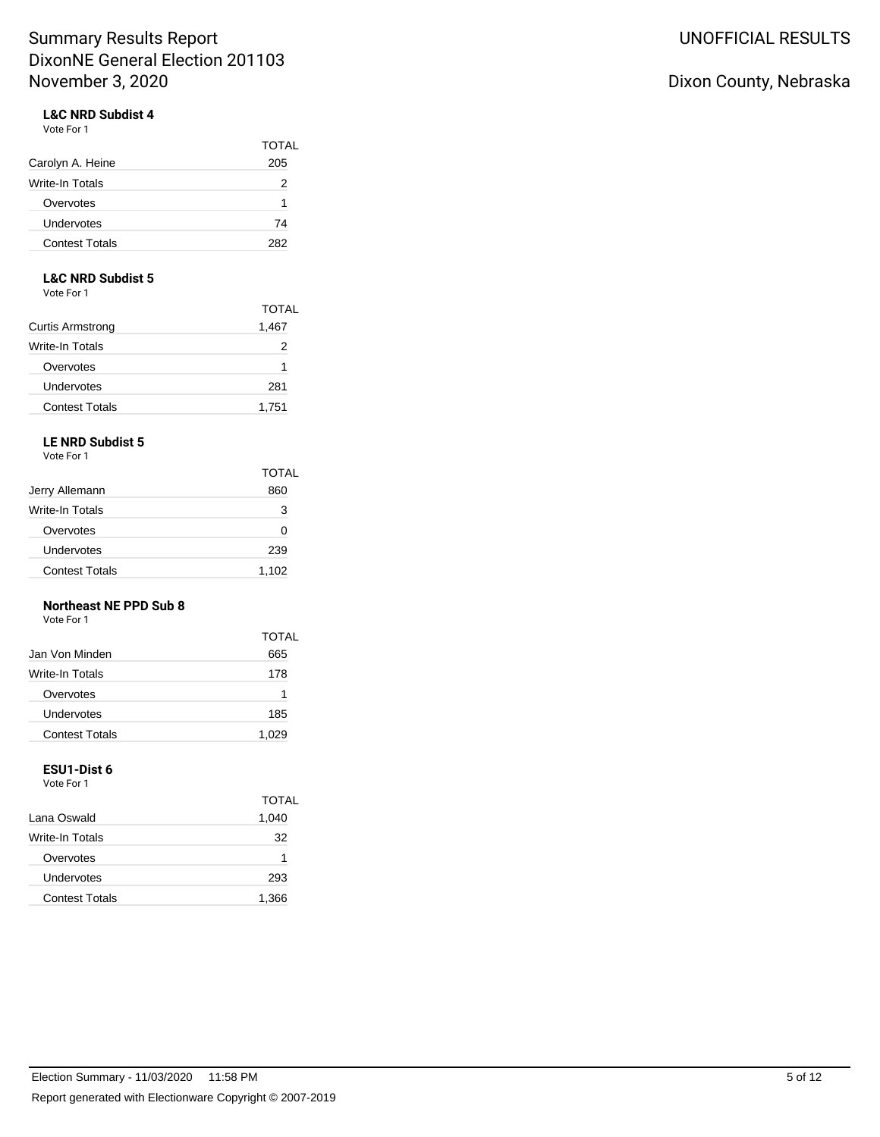#### **L&C NRD Subdist 4** Vote For 1

| Carolyn A. Heine      | <b>TOTAL</b><br>205 |
|-----------------------|---------------------|
| Write-In Totals       | 2                   |
| Overvotes             | 1                   |
| Undervotes            | 74                  |
| <b>Contest Totals</b> | 282                 |

### **L&C NRD Subdist 5**

Vote For 1

|                         | TOTAL |
|-------------------------|-------|
| <b>Curtis Armstrong</b> | 1,467 |
| Write-In Totals         | 2     |
| Overvotes               | 1     |
| Undervotes              | 281   |
| <b>Contest Totals</b>   | 1,751 |

## **LE NRD Subdist 5**

Vote For 1

|                       | <b>TOTAL</b> |
|-----------------------|--------------|
| Jerry Allemann        | 860          |
| Write-In Totals       | з            |
| Overvotes             | 0            |
| Undervotes            | 239          |
| <b>Contest Totals</b> | 1,102        |

#### **Northeast NE PPD Sub 8**

Vote For 1

|                       | TOTAL |
|-----------------------|-------|
| Jan Von Minden        | 665   |
| Write-In Totals       | 178   |
| Overvotes             | 1     |
| Undervotes            | 185   |
| <b>Contest Totals</b> | 1,029 |

## **ESU1-Dist 6**

Vote For 1

|                       | TOTAL |
|-----------------------|-------|
| Lana Oswald           | 1,040 |
| Write-In Totals       | 32    |
| Overvotes             | 1     |
| Undervotes            | 293   |
| <b>Contest Totals</b> | 1,366 |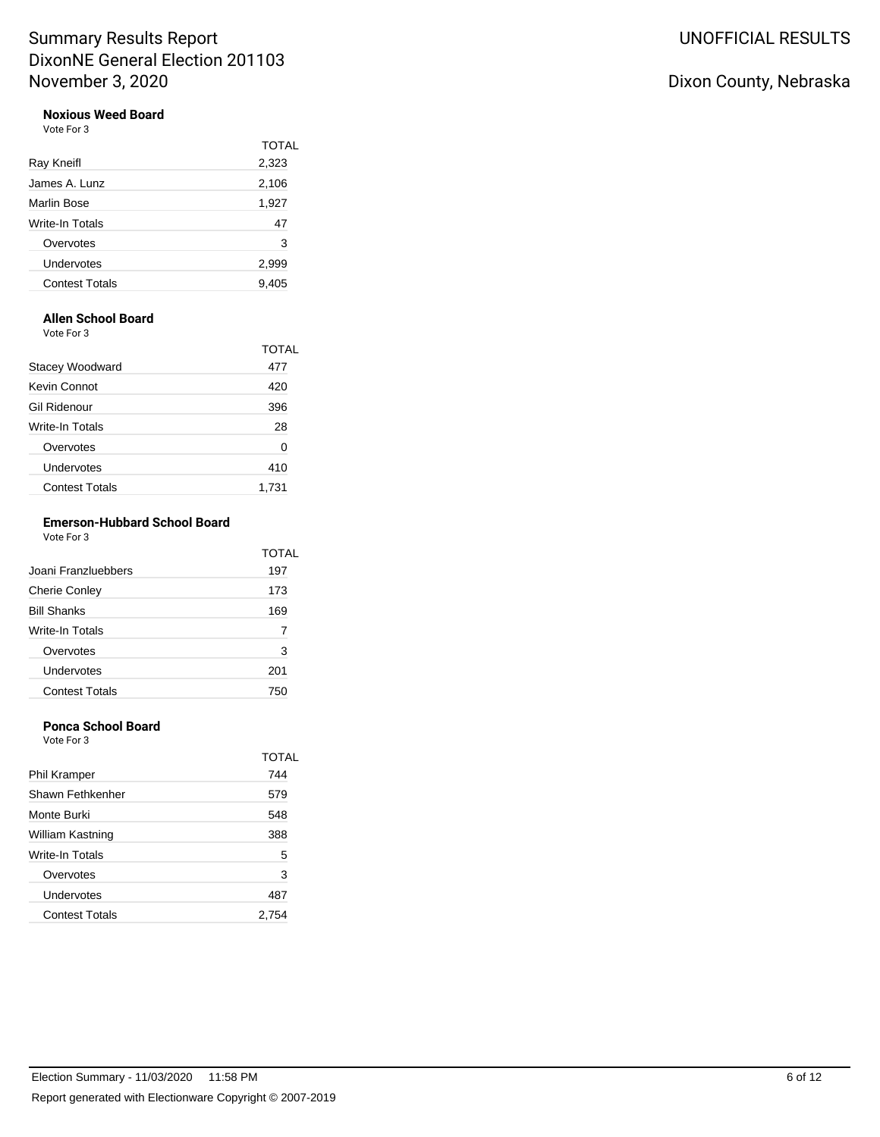# **Noxious Weed Board**

| Vote For 3 |  |
|------------|--|
|            |  |

|                       | <b>TOTAL</b> |
|-----------------------|--------------|
| Ray Kneifl            | 2,323        |
| James A. Lunz         | 2,106        |
| Marlin Bose           | 1,927        |
| Write-In Totals       | 47           |
| Overvotes             | 3            |
| Undervotes            | 2,999        |
| <b>Contest Totals</b> | 9,405        |
|                       |              |

### **Allen School Board**

Vote For 3

| <u>vuusi ulu</u>      |              |
|-----------------------|--------------|
|                       | <b>TOTAL</b> |
| Stacey Woodward       | 477          |
| Kevin Connot          | 420          |
| Gil Ridenour          | 396          |
| Write-In Totals       | 28           |
| Overvotes             | 0            |
| Undervotes            | 410          |
| <b>Contest Totals</b> | 1.731        |

#### **Emerson-Hubbard School Board** Vote For 3

|                       | TOTAL |
|-----------------------|-------|
| Joani Franzluebbers   | 197   |
| <b>Cherie Conley</b>  | 173   |
| <b>Bill Shanks</b>    | 169   |
| Write-In Totals       |       |
| Overvotes             | 3     |
| Undervotes            | 201   |
| <b>Contest Totals</b> | 750   |

### **Ponca School Board**

Vote For 3

|                       | <b>TOTAL</b> |
|-----------------------|--------------|
| Phil Kramper          | 744          |
| Shawn Fethkenher      | 579          |
| Monte Burki           | 548          |
| William Kastning      | 388          |
| Write-In Totals       | 5            |
| Overvotes             | 3            |
| Undervotes            | 487          |
| <b>Contest Totals</b> | 2.754        |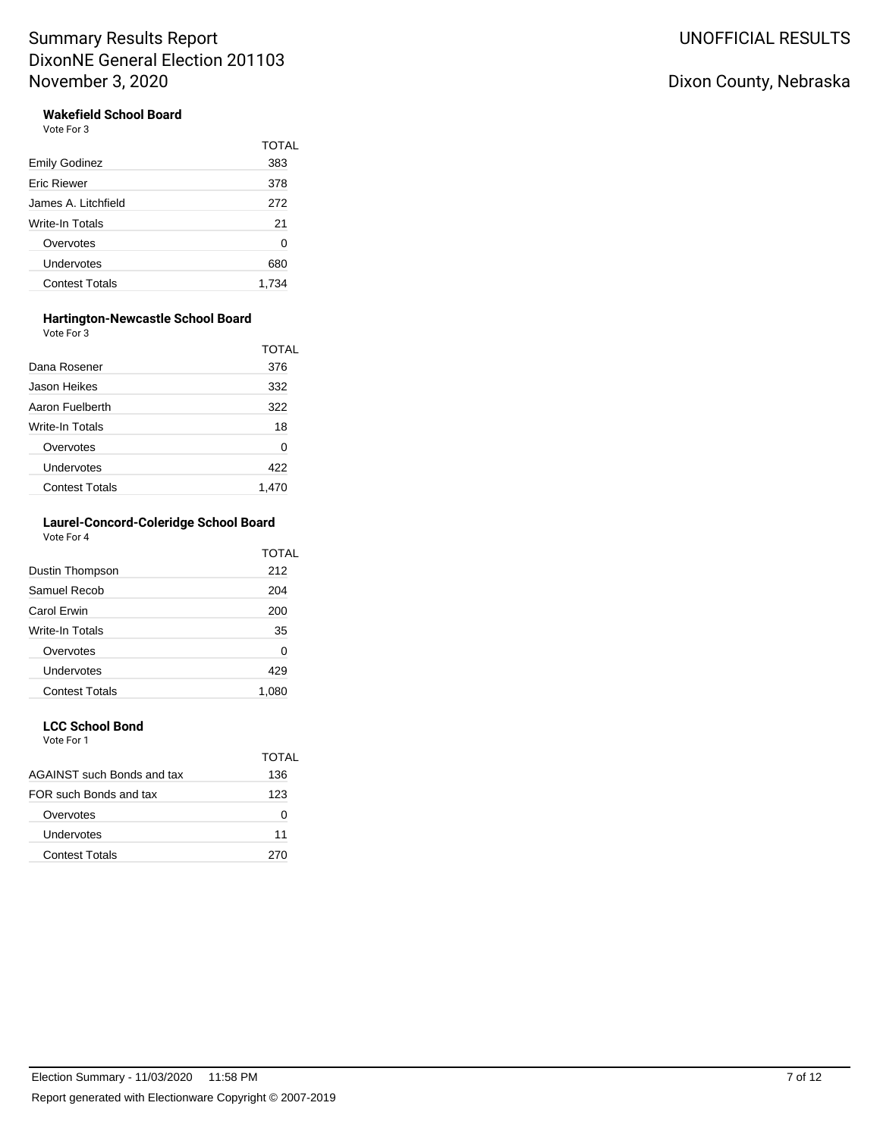### **Wakefield School Board**

Vote For 3

|                       | TOTAL |
|-----------------------|-------|
| <b>Emily Godinez</b>  | 383   |
| <b>Eric Riewer</b>    | 378   |
| James A. Litchfield   | 272   |
| Write-In Totals       | 21    |
| Overvotes             | 0     |
| Undervotes            | 680   |
| <b>Contest Totals</b> | 1.734 |
|                       |       |

#### **Hartington-Newcastle School Board**

Vote For 3

|                       | TOTAL |
|-----------------------|-------|
| Dana Rosener          | 376   |
| Jason Heikes          | 332   |
| Aaron Fuelberth       | 322   |
| Write-In Totals       | 18    |
| Overvotes             | 0     |
| Undervotes            | 422   |
| <b>Contest Totals</b> | 1.470 |

#### **Laurel-Concord-Coleridge School Board** Vote For 4

|                       | TOTAL |
|-----------------------|-------|
| Dustin Thompson       | 212   |
| Samuel Recob          | 204   |
| Carol Erwin           | 200   |
| Write-In Totals       | 35    |
| Overvotes             | 0     |
| Undervotes            | 429   |
| <b>Contest Totals</b> | 1.08C |

## **LCC School Bond**

Vote For 1

|                               | TOTAL |
|-------------------------------|-------|
| AGAINST such Bonds and tax    | 136   |
| <b>FOR such Bonds and tax</b> | 123   |
| Overvotes                     |       |
| Undervotes                    | 11    |
| Contest Totals                | 270   |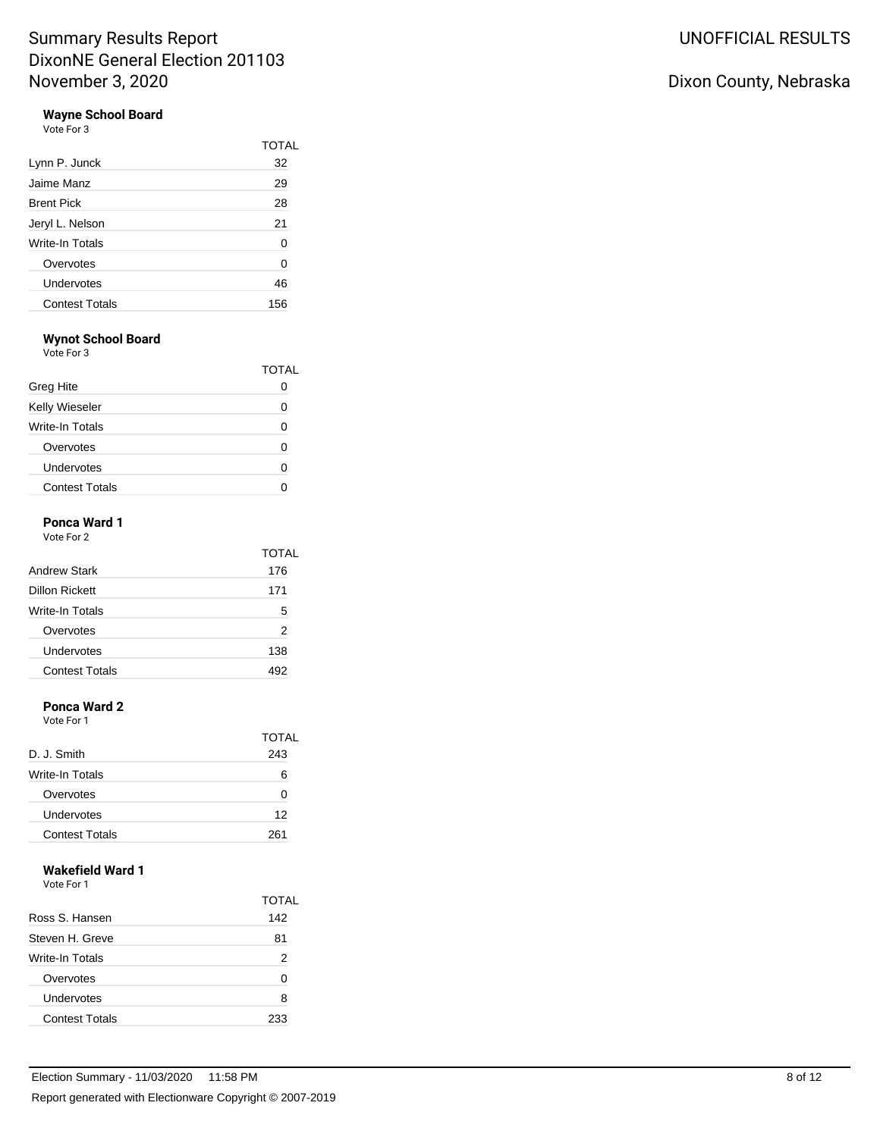## **Wayne School Board**

Vote For 3

|                        | TOTAL |
|------------------------|-------|
| Lynn P. Junck          | 32    |
| Jaime Manz             | 29    |
| <b>Brent Pick</b>      | 28    |
| Jeryl L. Nelson        | 21    |
| <b>Write-In Totals</b> | 0     |
| Overvotes              | 0     |
| Undervotes             | 46    |
| <b>Contest Totals</b>  | 156   |

## **Wynot School Board**

Vote For 3

|                       | TOTAL |
|-----------------------|-------|
| Greg Hite             |       |
| Kelly Wieseler        |       |
| Write-In Totals       |       |
| Overvotes             |       |
| Undervotes            |       |
| <b>Contest Totals</b> |       |

### **Ponca Ward 1**

| Vote For 2 |  |
|------------|--|
|            |  |

| <b>Andrew Stark</b>   | TOTAL<br>176 |
|-----------------------|--------------|
| Dillon Rickett        | 171          |
| Write-In Totals       | 5            |
| Overvotes             | 2            |
| Undervotes            | 138          |
| <b>Contest Totals</b> | 492          |

### **Ponca Ward 2**

Vote For 1

|                       | TOTAL |
|-----------------------|-------|
| D. J. Smith           | 243   |
| Write-In Totals       | 6     |
| Overvotes             | n     |
| Undervotes            | 12    |
| <b>Contest Totals</b> | 261   |

## **Wakefield Ward 1**

Vote For 1

|                       | TOTAL |
|-----------------------|-------|
| Ross S. Hansen        | 142   |
| Steven H. Greve       | 81    |
| Write-In Totals       | 2     |
| Overvotes             | O     |
| Undervotes            | 8     |
| <b>Contest Totals</b> | 233   |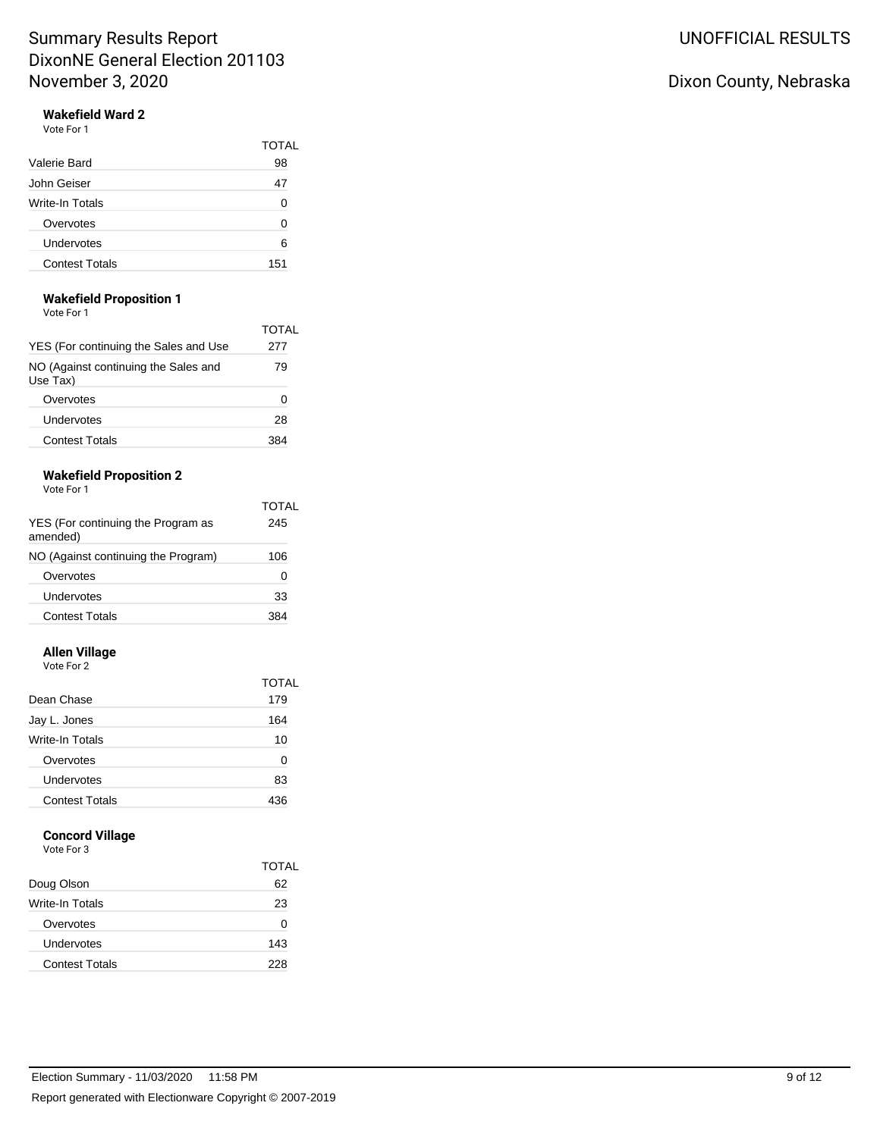# Wakefield Ward 2

| Vote For 1 |  |
|------------|--|
|------------|--|

|                       | TOTAI |
|-----------------------|-------|
| Valerie Bard          | 98    |
| John Geiser           | 47    |
| Write-In Totals       | 0     |
| Overvotes             | U     |
| Undervotes            | 6     |
| <b>Contest Totals</b> | 151   |

#### **Wakefield Proposition 1**

| Vote For 1 |  |
|------------|--|
|------------|--|

| YES (For continuing the Sales and Use            | TOTAL<br>277 |
|--------------------------------------------------|--------------|
| NO (Against continuing the Sales and<br>Use Tax) | 79           |
| Overvotes                                        |              |
| Undervotes                                       | 28           |
| <b>Contest Totals</b>                            |              |

#### **Wakefield Proposition 2** Vote For 1

| YES (For continuing the Program as<br>amended) | TOTAL<br>245 |
|------------------------------------------------|--------------|
| NO (Against continuing the Program)            | 106          |
| Overvotes                                      | O            |
| Undervotes                                     | 33           |
| Contest Totals                                 | 384          |

### **Allen Village**

Vote For 2

|                 | TOTAL |
|-----------------|-------|
| Dean Chase      | 179   |
| Jay L. Jones    | 164   |
| Write-In Totals | 10    |
| Overvotes       | O     |
| Undervotes      | 83    |
| Contest Totals  | 436   |

### **Concord Village**

| Vote For 3 |
|------------|
|------------|

|                       | TOTAL |
|-----------------------|-------|
| Doug Olson            | 62    |
| Write-In Totals       | 23    |
| Overvotes             | n     |
| Undervotes            | 143   |
| <b>Contest Totals</b> | 228   |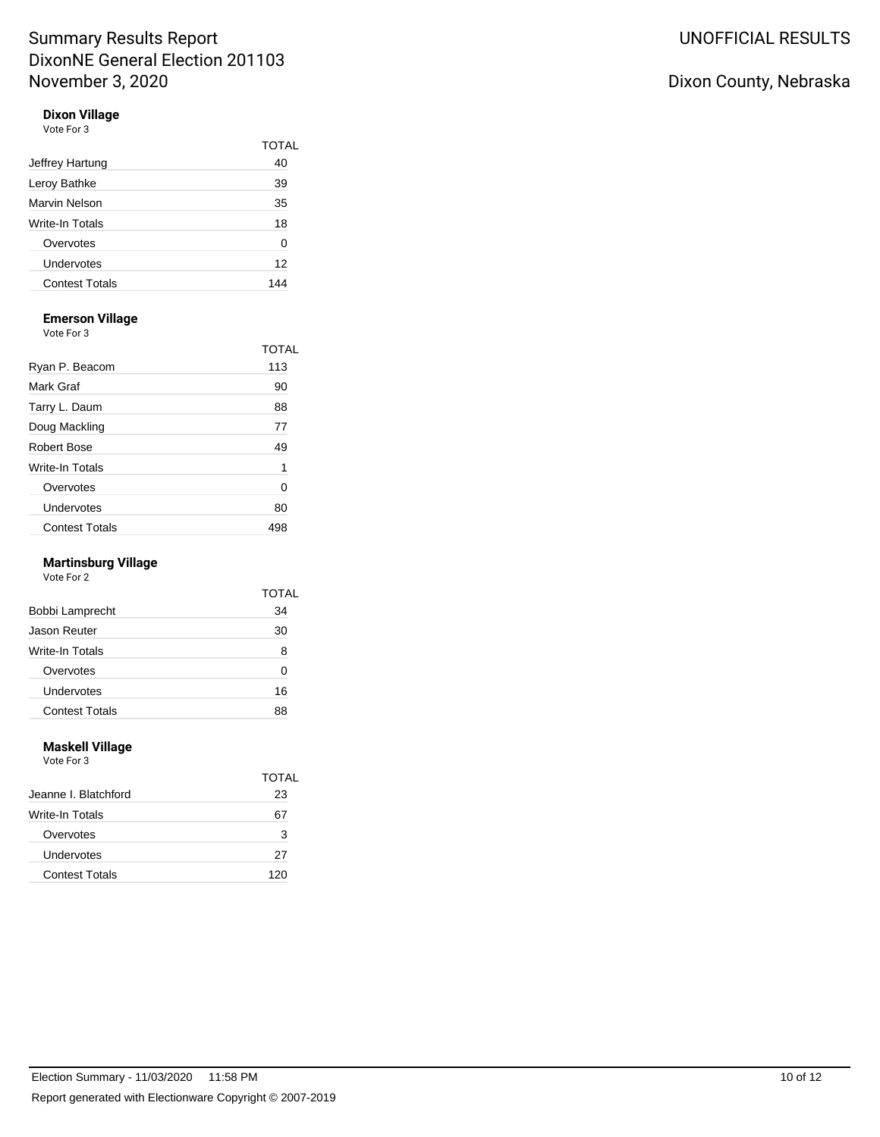#### **Dixon Village** Vote For 3

| Jeffrey Hartung       | TOTAL<br>40 |
|-----------------------|-------------|
| Leroy Bathke          | 39          |
| Marvin Nelson         | 35          |
| Write-In Totals       | 18          |
| Overvotes             | 0           |
| Undervotes            | 12          |
| <b>Contest Totals</b> |             |
|                       |             |

### **Emerson Village**

Vote For 3

| <u>vuusi ulu</u>      |       |
|-----------------------|-------|
|                       | TOTAL |
| Ryan P. Beacom        | 113   |
| Mark Graf             | 90    |
| Tarry L. Daum         | 88    |
| Doug Mackling         | 77    |
| Robert Bose           | 49    |
| Write-In Totals       | 1     |
| Overvotes             | 0     |
| Undervotes            | 80    |
| <b>Contest Totals</b> | 498   |

### **Martinsburg Village**

Vote For 2

|                       | TOTAI |
|-----------------------|-------|
| Bobbi Lamprecht       | 34    |
| Jason Reuter          | 30    |
| Write-In Totals       | 8     |
| Overvotes             | ŋ     |
| Undervotes            | 16    |
| <b>Contest Totals</b> | 88    |

#### **Maskell Village** Vote For 3

|                       | TOTAL |
|-----------------------|-------|
| Jeanne I. Blatchford  | 23    |
| Write-In Totals       |       |
| Overvotes             | 3     |
| Undervotes            | 27    |
| <b>Contest Totals</b> | 120   |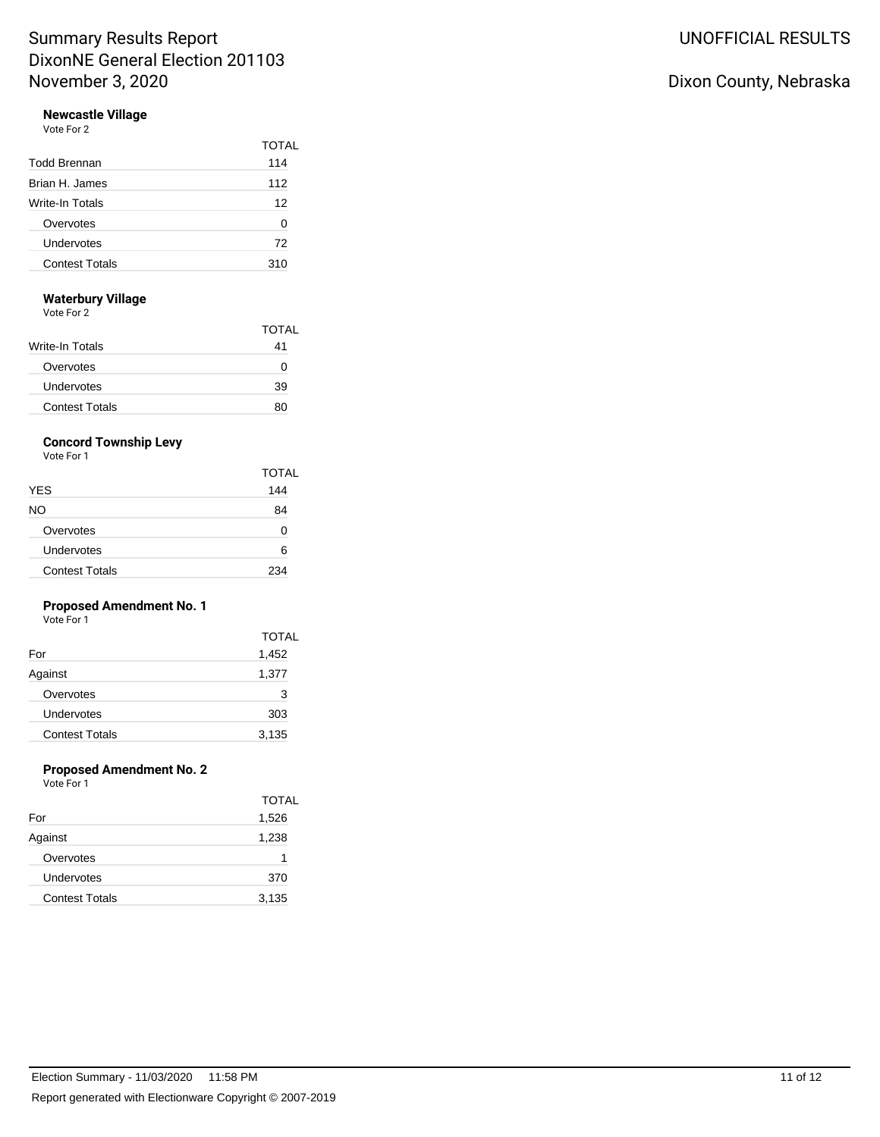#### **Newcastle Village** Vote For 2

|                       | <b>TOTAL</b> |
|-----------------------|--------------|
| <b>Todd Brennan</b>   | 114          |
| Brian H. James        | 112          |
| Write-In Totals       | 12           |
| Overvotes             | 0            |
| Undervotes            | 72           |
| <b>Contest Totals</b> | 310          |

#### **Waterbury Village**

Vote For 2

|                       | TOTAI |
|-----------------------|-------|
| Write-In Totals       | 41    |
| Overvotes             | O     |
| Undervotes            | 39    |
| <b>Contest Totals</b> | 80    |

## **Concord Township Levy**

Vote For 1

|                       | <b>TOTAL</b> |
|-----------------------|--------------|
| <b>YES</b>            | 144          |
| NO.                   | 84           |
| Overvotes             | O            |
| Undervotes            | 6            |
| <b>Contest Totals</b> | 234          |

#### **Proposed Amendment No. 1** Vote For 1

| , , , , , , , , ,     |              |  |
|-----------------------|--------------|--|
|                       | <b>TOTAL</b> |  |
| For                   | 1,452        |  |
| Against               | 1,377        |  |
| Overvotes             | 3            |  |
| Undervotes            | 303          |  |
| <b>Contest Totals</b> | 3,135        |  |

### **Proposed Amendment No. 2**

|                       | <b>TOTAL</b> |
|-----------------------|--------------|
| For                   | 1,526        |
| Against               | 1,238        |
| Overvotes             | 1            |
| Undervotes            | 370          |
| <b>Contest Totals</b> | 3,135        |